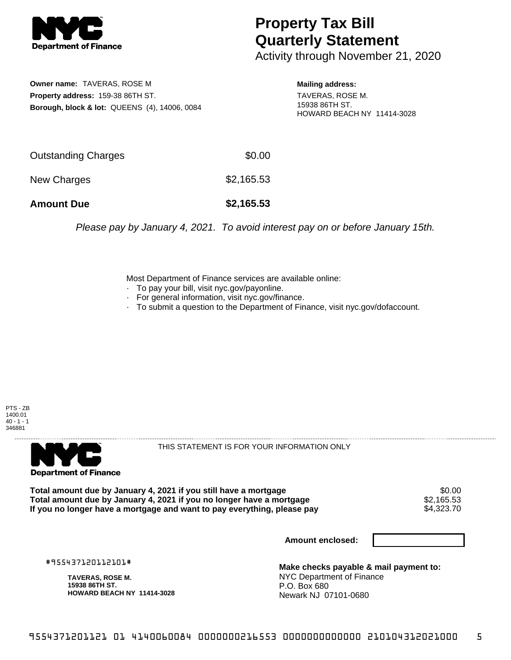

## **Property Tax Bill Quarterly Statement**

Activity through November 21, 2020

**Owner name:** TAVERAS, ROSE M **Property address:** 159-38 86TH ST. **Borough, block & lot:** QUEENS (4), 14006, 0084 **Mailing address:**

TAVERAS, ROSE M. 15938 86TH ST. HOWARD BEACH NY 11414-3028

| <b>Amount Due</b>   | \$2,165.53 |
|---------------------|------------|
| New Charges         | \$2,165.53 |
| Outstanding Charges | \$0.00     |

Please pay by January 4, 2021. To avoid interest pay on or before January 15th.

Most Department of Finance services are available online:

- · To pay your bill, visit nyc.gov/payonline.
- For general information, visit nyc.gov/finance.
- · To submit a question to the Department of Finance, visit nyc.gov/dofaccount.

PTS - ZB 1400.01  $40 - 1 - 1$ 346881



THIS STATEMENT IS FOR YOUR INFORMATION ONLY

Total amount due by January 4, 2021 if you still have a mortgage  $$0.00$ <br>Total amount due by January 4, 2021 if you no longer have a mortgage  $$2,165.53$ **Total amount due by January 4, 2021 if you no longer have a mortgage**  $$2,165.53$ **<br>If you no longer have a mortgage and want to pay everything, please pay**  $$4,323.70$ If you no longer have a mortgage and want to pay everything, please pay

**Amount enclosed:**

#955437120112101#

**TAVERAS, ROSE M. 15938 86TH ST. HOWARD BEACH NY 11414-3028**

**Make checks payable & mail payment to:** NYC Department of Finance P.O. Box 680 Newark NJ 07101-0680